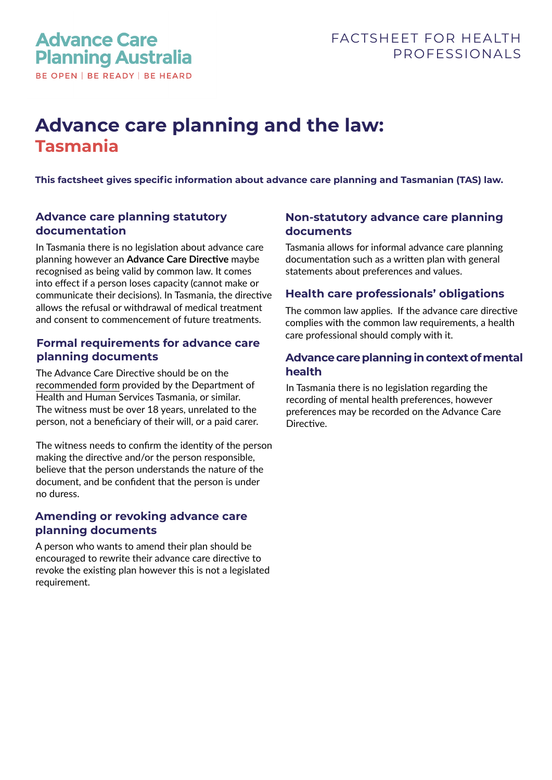# **Advance care planning and the law: Tasmania**

**This factsheet gives specific information about advance care planning and Tasmanian (TAS) law.** 

## **Advance care planning statutory documentation**

In Tasmania there is no legislation about advance care planning however an **Advance Care Directive** maybe recognised as being valid by common law. It comes into effect if a person loses capacity (cannot make or communicate their decisions). In Tasmania, the directive allows the refusal or withdrawal of medical treatment and consent to commencement of future treatments.

## **Formal requirements for advance care planning documents**

The Advance Care Directive should be on the [recommended form](https://www.advancecareplanning.org.au/resources/advance-care-planning-in-my-state) provided by the Department of Health and Human Services Tasmania, or similar. The witness must be over 18 years, unrelated to the person, not a beneficiary of their will, or a paid carer.

The witness needs to confirm the identity of the person making the directive and/or the person responsible, believe that the person understands the nature of the document, and be confident that the person is under no duress.

## **Amending or revoking advance care planning documents**

A person who wants to amend their plan should be encouraged to rewrite their advance care directive to revoke the existing plan however this is not a legislated requirement.

# **Non-statutory advance care planning documents**

Tasmania allows for informal advance care planning documentation such as a written plan with general statements about preferences and values.

#### **Health care professionals' obligations**

The common law applies. If the advance care directive complies with the common law requirements, a health care professional should comply with it.

#### **Advance care planning in context of mental health**

In Tasmania there is no legislation regarding the recording of mental health preferences, however preferences may be recorded on the Advance Care Directive.